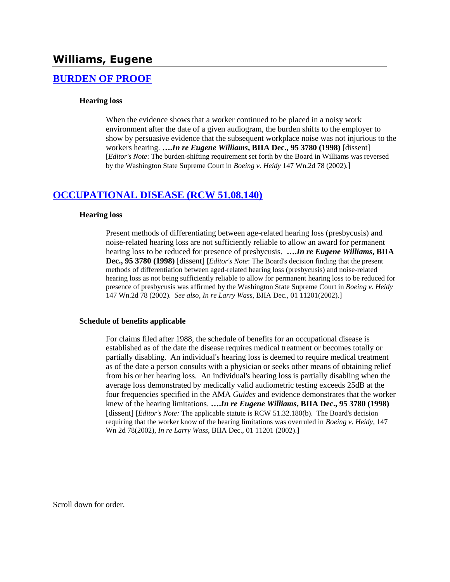## **[BURDEN OF PROOF](http://www.biia.wa.gov/SDSubjectIndex.html#BURDEN_OF_PROOF)**

#### **Hearing loss**

When the evidence shows that a worker continued to be placed in a noisy work environment after the date of a given audiogram, the burden shifts to the employer to show by persuasive evidence that the subsequent workplace noise was not injurious to the workers hearing. **….***In re Eugene Williams***, BIIA Dec., 95 3780 (1998)** [dissent] [*Editor's Note*: The burden-shifting requirement set forth by the Board in Williams was reversed by the Washington State Supreme Court in *Boeing v. Heidy* 147 Wn.2d 78 (2002).]

### **[OCCUPATIONAL DISEASE \(RCW 51.08.140\)](http://www.biia.wa.gov/SDSubjectIndex.html#OCCUPATIONAL_DISEASE)**

#### **Hearing loss**

Present methods of differentiating between age-related hearing loss (presbycusis) and noise-related hearing loss are not sufficiently reliable to allow an award for permanent hearing loss to be reduced for presence of presbycusis. **….***In re Eugene Williams***, BIIA Dec., 95 3780 (1998)** [dissent] [*Editor's Note*: The Board's decision finding that the present methods of differentiation between aged-related hearing loss (presbycusis) and noise-related hearing loss as not being sufficiently reliable to allow for permanent hearing loss to be reduced for presence of presbycusis was affirmed by the Washington State Supreme Court in *Boeing v. Heidy* 147 Wn.2d 78 (2002). *See also*, *In re Larry Wass*, BIIA Dec., [01 11201\(](http://www.biia.wa.gov/significantdecisions/0111201.htm)2002).]

#### **Schedule of benefits applicable**

For claims filed after 1988, the schedule of benefits for an occupational disease is established as of the date the disease requires medical treatment or becomes totally or partially disabling. An individual's hearing loss is deemed to require medical treatment as of the date a person consults with a physician or seeks other means of obtaining relief from his or her hearing loss. An individual's hearing loss is partially disabling when the average loss demonstrated by medically valid audiometric testing exceeds 25dB at the four frequencies specified in the AMA *Guides* and evidence demonstrates that the worker knew of the hearing limitations. **….***In re Eugene Williams***, BIIA Dec., 95 3780 (1998)**  [dissent] [*Editor's Note:* The applicable statute is RCW 51.32.180(b). The Board's decision requiring that the worker know of the hearing limitations was overruled in *Boeing v. Heidy*, 147 Wn 2d 78(2002), *In re Larry Wass*, BIIA Dec., 01 11201 (2002).]

Scroll down for order.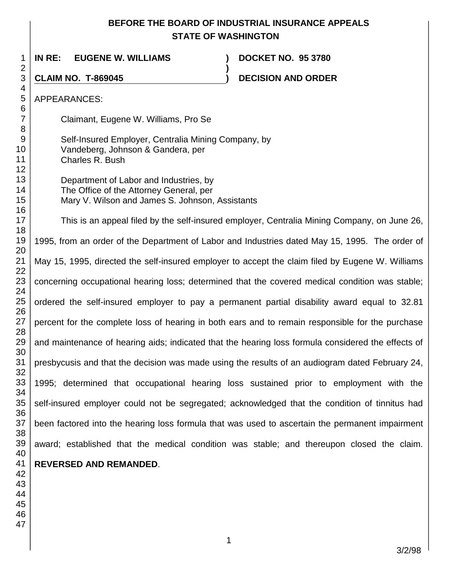# **BEFORE THE BOARD OF INDUSTRIAL INSURANCE APPEALS STATE OF WASHINGTON**

| 1                            | INRE:<br><b>EUGENE W. WILLIAMS</b>                                                                                                   | <b>DOCKET NO. 95 3780</b>                                                                       |
|------------------------------|--------------------------------------------------------------------------------------------------------------------------------------|-------------------------------------------------------------------------------------------------|
| $\overline{2}$<br>3          | <b>CLAIM NO. T-869045</b>                                                                                                            | <b>DECISION AND ORDER</b>                                                                       |
| 4<br>5                       | <b>APPEARANCES:</b>                                                                                                                  |                                                                                                 |
| 6<br>$\overline{7}$          | Claimant, Eugene W. Williams, Pro Se                                                                                                 |                                                                                                 |
| 8<br>$9\,$<br>10<br>11<br>12 | Self-Insured Employer, Centralia Mining Company, by<br>Vandeberg, Johnson & Gandera, per<br>Charles R. Bush                          |                                                                                                 |
| 13<br>14<br>15<br>16         | Department of Labor and Industries, by<br>The Office of the Attorney General, per<br>Mary V. Wilson and James S. Johnson, Assistants |                                                                                                 |
| 17<br>18                     | This is an appeal filed by the self-insured employer, Centralia Mining Company, on June 26,                                          |                                                                                                 |
| 19<br>20                     | 1995, from an order of the Department of Labor and Industries dated May 15, 1995. The order of                                       |                                                                                                 |
| 21<br>22                     | May 15, 1995, directed the self-insured employer to accept the claim filed by Eugene W. Williams                                     |                                                                                                 |
| 23<br>24                     | concerning occupational hearing loss; determined that the covered medical condition was stable;                                      |                                                                                                 |
| 25<br>26                     | ordered the self-insured employer to pay a permanent partial disability award equal to 32.81                                         |                                                                                                 |
| 27<br>28                     | percent for the complete loss of hearing in both ears and to remain responsible for the purchase                                     |                                                                                                 |
| 29<br>30                     | and maintenance of hearing aids; indicated that the hearing loss formula considered the effects of                                   |                                                                                                 |
| 31<br>32                     |                                                                                                                                      | presbycusis and that the decision was made using the results of an audiogram dated February 24, |
| 33<br>34                     |                                                                                                                                      | 1995; determined that occupational hearing loss sustained prior to employment with the          |
| 35<br>36                     | self-insured employer could not be segregated; acknowledged that the condition of tinnitus had                                       |                                                                                                 |
| 37<br>38                     |                                                                                                                                      | been factored into the hearing loss formula that was used to ascertain the permanent impairment |
| 39<br>40                     |                                                                                                                                      | award; established that the medical condition was stable; and thereupon closed the claim.       |
| 41<br>42                     | <b>REVERSED AND REMANDED.</b>                                                                                                        |                                                                                                 |
| 43<br>44                     |                                                                                                                                      |                                                                                                 |
| 45<br>46                     |                                                                                                                                      |                                                                                                 |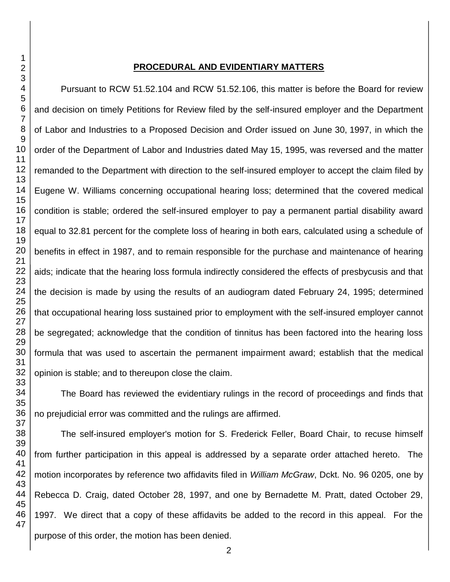#### **PROCEDURAL AND EVIDENTIARY MATTERS**

Pursuant to RCW 51.52.104 and RCW 51.52.106, this matter is before the Board for review and decision on timely Petitions for Review filed by the self-insured employer and the Department of Labor and Industries to a Proposed Decision and Order issued on June 30, 1997, in which the order of the Department of Labor and Industries dated May 15, 1995, was reversed and the matter remanded to the Department with direction to the self-insured employer to accept the claim filed by Eugene W. Williams concerning occupational hearing loss; determined that the covered medical condition is stable; ordered the self-insured employer to pay a permanent partial disability award equal to 32.81 percent for the complete loss of hearing in both ears, calculated using a schedule of benefits in effect in 1987, and to remain responsible for the purchase and maintenance of hearing aids; indicate that the hearing loss formula indirectly considered the effects of presbycusis and that the decision is made by using the results of an audiogram dated February 24, 1995; determined that occupational hearing loss sustained prior to employment with the self-insured employer cannot be segregated; acknowledge that the condition of tinnitus has been factored into the hearing loss formula that was used to ascertain the permanent impairment award; establish that the medical opinion is stable; and to thereupon close the claim.

The Board has reviewed the evidentiary rulings in the record of proceedings and finds that no prejudicial error was committed and the rulings are affirmed.

The self-insured employer's motion for S. Frederick Feller, Board Chair, to recuse himself from further participation in this appeal is addressed by a separate order attached hereto. The motion incorporates by reference two affidavits filed in *William McGraw*, Dckt. No. 96 0205, one by Rebecca D. Craig, dated October 28, 1997, and one by Bernadette M. Pratt, dated October 29, 1997. We direct that a copy of these affidavits be added to the record in this appeal. For the purpose of this order, the motion has been denied.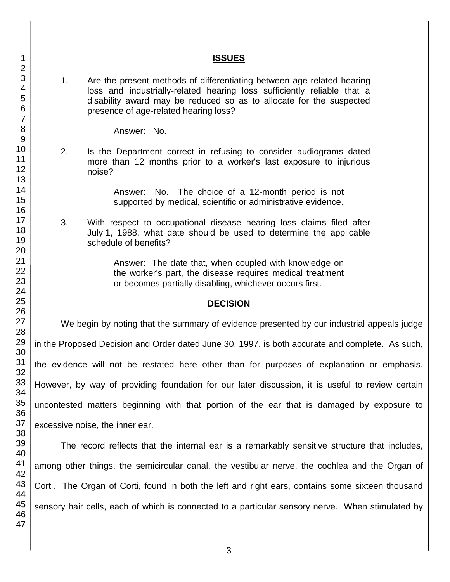### **ISSUES**

1. Are the present methods of differentiating between age-related hearing loss and industrially-related hearing loss sufficiently reliable that a disability award may be reduced so as to allocate for the suspected presence of age-related hearing loss?

Answer: No.

2. Is the Department correct in refusing to consider audiograms dated more than 12 months prior to a worker's last exposure to injurious noise?

> Answer: No. The choice of a 12-month period is not supported by medical, scientific or administrative evidence.

3. With respect to occupational disease hearing loss claims filed after July 1, 1988, what date should be used to determine the applicable schedule of benefits?

> Answer: The date that, when coupled with knowledge on the worker's part, the disease requires medical treatment or becomes partially disabling, whichever occurs first.

### **DECISION**

We begin by noting that the summary of evidence presented by our industrial appeals judge in the Proposed Decision and Order dated June 30, 1997, is both accurate and complete. As such, the evidence will not be restated here other than for purposes of explanation or emphasis. However, by way of providing foundation for our later discussion, it is useful to review certain uncontested matters beginning with that portion of the ear that is damaged by exposure to excessive noise, the inner ear.

The record reflects that the internal ear is a remarkably sensitive structure that includes, among other things, the semicircular canal, the vestibular nerve, the cochlea and the Organ of Corti. The Organ of Corti, found in both the left and right ears, contains some sixteen thousand sensory hair cells, each of which is connected to a particular sensory nerve. When stimulated by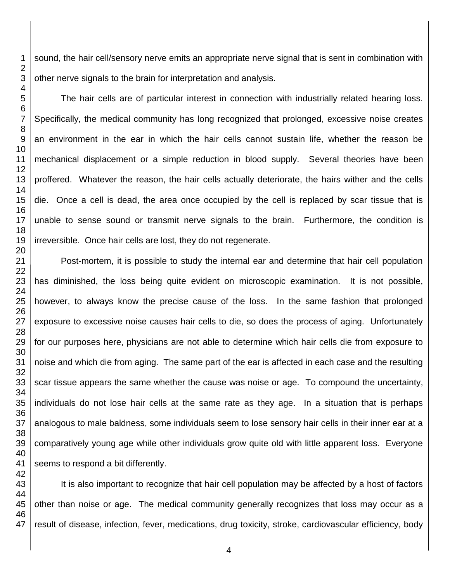sound, the hair cell/sensory nerve emits an appropriate nerve signal that is sent in combination with other nerve signals to the brain for interpretation and analysis.

The hair cells are of particular interest in connection with industrially related hearing loss. Specifically, the medical community has long recognized that prolonged, excessive noise creates an environment in the ear in which the hair cells cannot sustain life, whether the reason be mechanical displacement or a simple reduction in blood supply. Several theories have been proffered. Whatever the reason, the hair cells actually deteriorate, the hairs wither and the cells die. Once a cell is dead, the area once occupied by the cell is replaced by scar tissue that is unable to sense sound or transmit nerve signals to the brain. Furthermore, the condition is irreversible. Once hair cells are lost, they do not regenerate.

Post-mortem, it is possible to study the internal ear and determine that hair cell population has diminished, the loss being quite evident on microscopic examination. It is not possible, however, to always know the precise cause of the loss. In the same fashion that prolonged exposure to excessive noise causes hair cells to die, so does the process of aging. Unfortunately for our purposes here, physicians are not able to determine which hair cells die from exposure to noise and which die from aging. The same part of the ear is affected in each case and the resulting scar tissue appears the same whether the cause was noise or age. To compound the uncertainty, individuals do not lose hair cells at the same rate as they age. In a situation that is perhaps analogous to male baldness, some individuals seem to lose sensory hair cells in their inner ear at a comparatively young age while other individuals grow quite old with little apparent loss. Everyone seems to respond a bit differently.

It is also important to recognize that hair cell population may be affected by a host of factors other than noise or age. The medical community generally recognizes that loss may occur as a result of disease, infection, fever, medications, drug toxicity, stroke, cardiovascular efficiency, body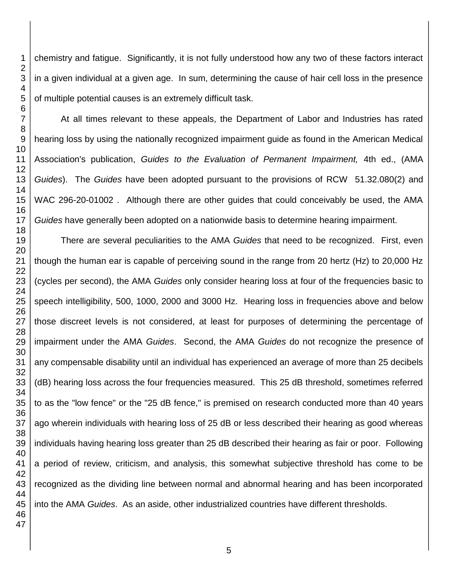chemistry and fatigue. Significantly, it is not fully understood how any two of these factors interact in a given individual at a given age. In sum, determining the cause of hair cell loss in the presence of multiple potential causes is an extremely difficult task.

At all times relevant to these appeals, the Department of Labor and Industries has rated hearing loss by using the nationally recognized impairment guide as found in the American Medical Association's publication, *Guides to the Evaluation of Permanent Impairment,* 4th ed., (AMA *Guides*). The *Guides* have been adopted pursuant to the provisions of RCW 51.32.080(2) and WAC 296-20-01002 . Although there are other guides that could conceivably be used, the AMA *Guides* have generally been adopted on a nationwide basis to determine hearing impairment.

There are several peculiarities to the AMA *Guides* that need to be recognized. First, even though the human ear is capable of perceiving sound in the range from 20 hertz (Hz) to 20,000 Hz (cycles per second), the AMA *Guides* only consider hearing loss at four of the frequencies basic to speech intelligibility, 500, 1000, 2000 and 3000 Hz. Hearing loss in frequencies above and below those discreet levels is not considered, at least for purposes of determining the percentage of impairment under the AMA *Guides*. Second, the AMA *Guides* do not recognize the presence of any compensable disability until an individual has experienced an average of more than 25 decibels (dB) hearing loss across the four frequencies measured. This 25 dB threshold, sometimes referred to as the "low fence" or the "25 dB fence," is premised on research conducted more than 40 years ago wherein individuals with hearing loss of 25 dB or less described their hearing as good whereas individuals having hearing loss greater than 25 dB described their hearing as fair or poor. Following a period of review, criticism, and analysis, this somewhat subjective threshold has come to be recognized as the dividing line between normal and abnormal hearing and has been incorporated into the AMA *Guides*. As an aside, other industrialized countries have different thresholds.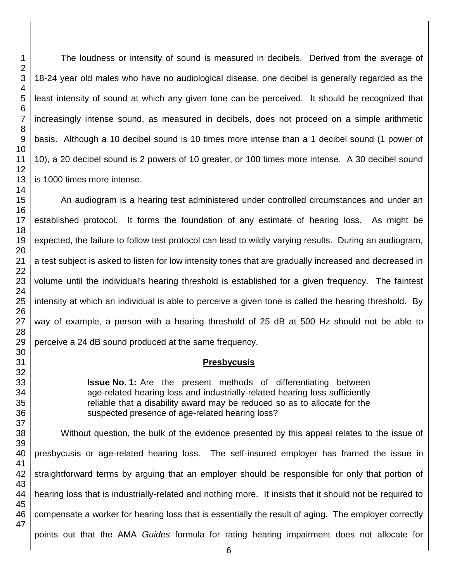The loudness or intensity of sound is measured in decibels. Derived from the average of 18-24 year old males who have no audiological disease, one decibel is generally regarded as the least intensity of sound at which any given tone can be perceived. It should be recognized that increasingly intense sound, as measured in decibels, does not proceed on a simple arithmetic basis. Although a 10 decibel sound is 10 times more intense than a 1 decibel sound (1 power of 10), a 20 decibel sound is 2 powers of 10 greater, or 100 times more intense. A 30 decibel sound is 1000 times more intense.

An audiogram is a hearing test administered under controlled circumstances and under an established protocol. It forms the foundation of any estimate of hearing loss. As might be expected, the failure to follow test protocol can lead to wildly varying results. During an audiogram, a test subject is asked to listen for low intensity tones that are gradually increased and decreased in volume until the individual's hearing threshold is established for a given frequency. The faintest intensity at which an individual is able to perceive a given tone is called the hearing threshold. By way of example, a person with a hearing threshold of 25 dB at 500 Hz should not be able to perceive a 24 dB sound produced at the same frequency.

#### **Presbycusis**

**Issue No. 1:** Are the present methods of differentiating between age-related hearing loss and industrially-related hearing loss sufficiently reliable that a disability award may be reduced so as to allocate for the suspected presence of age-related hearing loss?

Without question, the bulk of the evidence presented by this appeal relates to the issue of presbycusis or age-related hearing loss. The self-insured employer has framed the issue in straightforward terms by arguing that an employer should be responsible for only that portion of hearing loss that is industrially-related and nothing more. It insists that it should not be required to compensate a worker for hearing loss that is essentially the result of aging. The employer correctly points out that the AMA *Guides* formula for rating hearing impairment does not allocate for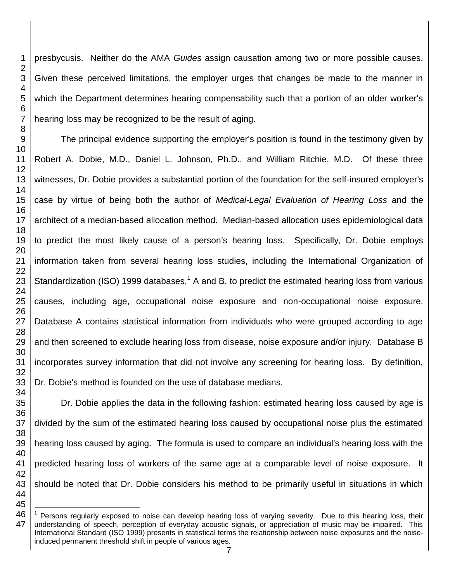presbycusis. Neither do the AMA *Guides* assign causation among two or more possible causes. Given these perceived limitations, the employer urges that changes be made to the manner in which the Department determines hearing compensability such that a portion of an older worker's hearing loss may be recognized to be the result of aging.

 

 The principal evidence supporting the employer's position is found in the testimony given by Robert A. Dobie, M.D., Daniel L. Johnson, Ph.D., and William Ritchie, M.D. Of these three witnesses, Dr. Dobie provides a substantial portion of the foundation for the self-insured employer's case by virtue of being both the author of *Medical-Legal Evaluation of Hearing Loss* and the architect of a median-based allocation method. Median-based allocation uses epidemiological data to predict the most likely cause of a person's hearing loss. Specifically, Dr. Dobie employs information taken from several hearing loss studies, including the International Organization of Standardization (ISO) 1999 databases,<sup>1</sup> A and B, to predict the estimated hearing loss from various causes, including age, occupational noise exposure and non-occupational noise exposure. Database A contains statistical information from individuals who were grouped according to age and then screened to exclude hearing loss from disease, noise exposure and/or injury. Database B incorporates survey information that did not involve any screening for hearing loss. By definition, Dr. Dobie's method is founded on the use of database medians.

Dr. Dobie applies the data in the following fashion: estimated hearing loss caused by age is divided by the sum of the estimated hearing loss caused by occupational noise plus the estimated hearing loss caused by aging. The formula is used to compare an individual's hearing loss with the predicted hearing loss of workers of the same age at a comparable level of noise exposure. It should be noted that Dr. Dobie considers his method to be primarily useful in situations in which

 l Persons regularly exposed to noise can develop hearing loss of varying severity. Due to this hearing loss, their understanding of speech, perception of everyday acoustic signals, or appreciation of music may be impaired. This International Standard (ISO 1999) presents in statistical terms the relationship between noise exposures and the noiseinduced permanent threshold shift in people of various ages.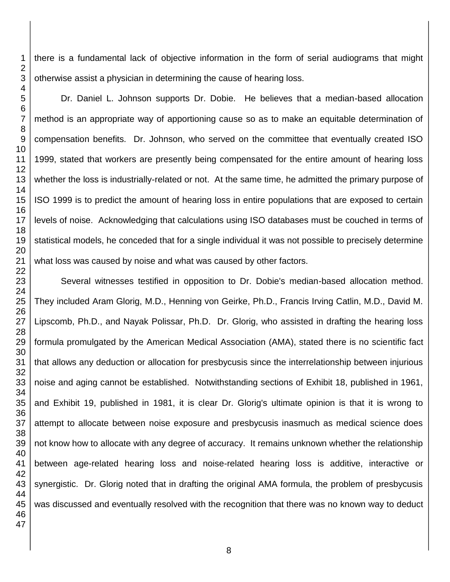there is a fundamental lack of objective information in the form of serial audiograms that might otherwise assist a physician in determining the cause of hearing loss.

Dr. Daniel L. Johnson supports Dr. Dobie. He believes that a median-based allocation method is an appropriate way of apportioning cause so as to make an equitable determination of compensation benefits. Dr. Johnson, who served on the committee that eventually created ISO 1999, stated that workers are presently being compensated for the entire amount of hearing loss whether the loss is industrially-related or not. At the same time, he admitted the primary purpose of ISO 1999 is to predict the amount of hearing loss in entire populations that are exposed to certain levels of noise. Acknowledging that calculations using ISO databases must be couched in terms of statistical models, he conceded that for a single individual it was not possible to precisely determine what loss was caused by noise and what was caused by other factors.

Several witnesses testified in opposition to Dr. Dobie's median-based allocation method. They included Aram Glorig, M.D., Henning von Geirke, Ph.D., Francis Irving Catlin, M.D., David M. Lipscomb, Ph.D., and Nayak Polissar, Ph.D. Dr. Glorig, who assisted in drafting the hearing loss formula promulgated by the American Medical Association (AMA), stated there is no scientific fact that allows any deduction or allocation for presbycusis since the interrelationship between injurious noise and aging cannot be established. Notwithstanding sections of Exhibit 18, published in 1961, and Exhibit 19, published in 1981, it is clear Dr. Glorig's ultimate opinion is that it is wrong to attempt to allocate between noise exposure and presbycusis inasmuch as medical science does not know how to allocate with any degree of accuracy. It remains unknown whether the relationship between age-related hearing loss and noise-related hearing loss is additive, interactive or synergistic. Dr. Glorig noted that in drafting the original AMA formula, the problem of presbycusis was discussed and eventually resolved with the recognition that there was no known way to deduct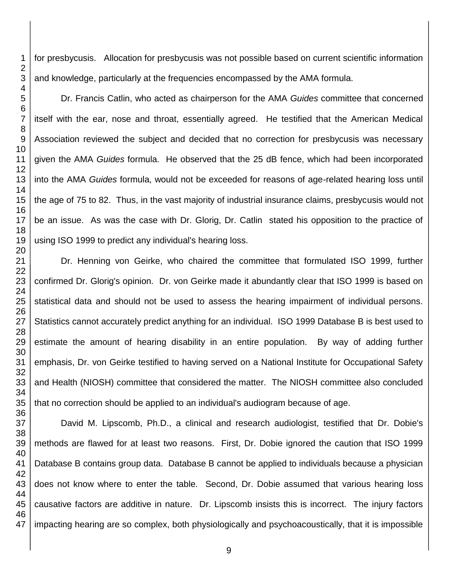for presbycusis. Allocation for presbycusis was not possible based on current scientific information and knowledge, particularly at the frequencies encompassed by the AMA formula.

Dr. Francis Catlin, who acted as chairperson for the AMA *Guides* committee that concerned itself with the ear, nose and throat, essentially agreed. He testified that the American Medical Association reviewed the subject and decided that no correction for presbycusis was necessary given the AMA *Guides* formula. He observed that the 25 dB fence, which had been incorporated into the AMA *Guides* formula, would not be exceeded for reasons of age-related hearing loss until the age of 75 to 82. Thus, in the vast majority of industrial insurance claims, presbycusis would not be an issue. As was the case with Dr. Glorig, Dr. Catlin stated his opposition to the practice of using ISO 1999 to predict any individual's hearing loss.

Dr. Henning von Geirke, who chaired the committee that formulated ISO 1999, further confirmed Dr. Glorig's opinion. Dr. von Geirke made it abundantly clear that ISO 1999 is based on statistical data and should not be used to assess the hearing impairment of individual persons. Statistics cannot accurately predict anything for an individual. ISO 1999 Database B is best used to estimate the amount of hearing disability in an entire population. By way of adding further emphasis, Dr. von Geirke testified to having served on a National Institute for Occupational Safety and Health (NIOSH) committee that considered the matter. The NIOSH committee also concluded that no correction should be applied to an individual's audiogram because of age.

David M. Lipscomb, Ph.D., a clinical and research audiologist, testified that Dr. Dobie's methods are flawed for at least two reasons. First, Dr. Dobie ignored the caution that ISO 1999 Database B contains group data. Database B cannot be applied to individuals because a physician does not know where to enter the table. Second, Dr. Dobie assumed that various hearing loss causative factors are additive in nature. Dr. Lipscomb insists this is incorrect. The injury factors impacting hearing are so complex, both physiologically and psychoacoustically, that it is impossible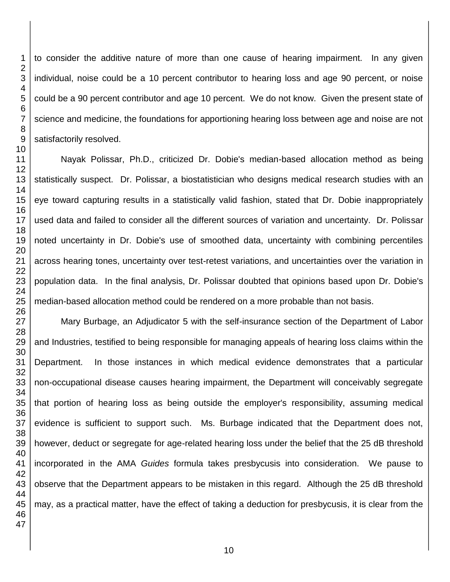to consider the additive nature of more than one cause of hearing impairment. In any given individual, noise could be a 10 percent contributor to hearing loss and age 90 percent, or noise could be a 90 percent contributor and age 10 percent. We do not know. Given the present state of science and medicine, the foundations for apportioning hearing loss between age and noise are not satisfactorily resolved.

Nayak Polissar, Ph.D., criticized Dr. Dobie's median-based allocation method as being statistically suspect. Dr. Polissar, a biostatistician who designs medical research studies with an eye toward capturing results in a statistically valid fashion, stated that Dr. Dobie inappropriately used data and failed to consider all the different sources of variation and uncertainty. Dr. Polissar noted uncertainty in Dr. Dobie's use of smoothed data, uncertainty with combining percentiles across hearing tones, uncertainty over test-retest variations, and uncertainties over the variation in population data. In the final analysis, Dr. Polissar doubted that opinions based upon Dr. Dobie's median-based allocation method could be rendered on a more probable than not basis.

Mary Burbage, an Adjudicator 5 with the self-insurance section of the Department of Labor and Industries, testified to being responsible for managing appeals of hearing loss claims within the Department. In those instances in which medical evidence demonstrates that a particular non-occupational disease causes hearing impairment, the Department will conceivably segregate that portion of hearing loss as being outside the employer's responsibility, assuming medical evidence is sufficient to support such. Ms. Burbage indicated that the Department does not, however, deduct or segregate for age-related hearing loss under the belief that the 25 dB threshold incorporated in the AMA *Guides* formula takes presbycusis into consideration. We pause to observe that the Department appears to be mistaken in this regard. Although the 25 dB threshold may, as a practical matter, have the effect of taking a deduction for presbycusis, it is clear from the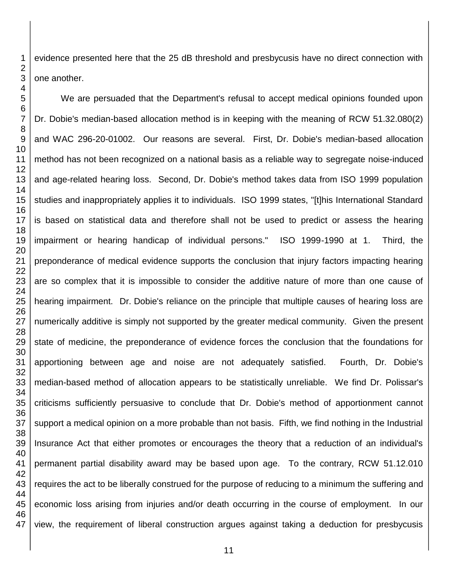evidence presented here that the 25 dB threshold and presbycusis have no direct connection with one another.

 We are persuaded that the Department's refusal to accept medical opinions founded upon Dr. Dobie's median-based allocation method is in keeping with the meaning of RCW 51.32.080(2) and WAC 296-20-01002. Our reasons are several. First, Dr. Dobie's median-based allocation method has not been recognized on a national basis as a reliable way to segregate noise-induced and age-related hearing loss. Second, Dr. Dobie's method takes data from ISO 1999 population studies and inappropriately applies it to individuals. ISO 1999 states, "[t]his International Standard is based on statistical data and therefore shall not be used to predict or assess the hearing impairment or hearing handicap of individual persons." ISO 1999-1990 at 1. Third, the preponderance of medical evidence supports the conclusion that injury factors impacting hearing are so complex that it is impossible to consider the additive nature of more than one cause of hearing impairment. Dr. Dobie's reliance on the principle that multiple causes of hearing loss are numerically additive is simply not supported by the greater medical community. Given the present state of medicine, the preponderance of evidence forces the conclusion that the foundations for apportioning between age and noise are not adequately satisfied. Fourth, Dr. Dobie's median-based method of allocation appears to be statistically unreliable. We find Dr. Polissar's criticisms sufficiently persuasive to conclude that Dr. Dobie's method of apportionment cannot support a medical opinion on a more probable than not basis. Fifth, we find nothing in the Industrial Insurance Act that either promotes or encourages the theory that a reduction of an individual's permanent partial disability award may be based upon age. To the contrary, RCW 51.12.010 requires the act to be liberally construed for the purpose of reducing to a minimum the suffering and economic loss arising from injuries and/or death occurring in the course of employment. In our view, the requirement of liberal construction argues against taking a deduction for presbycusis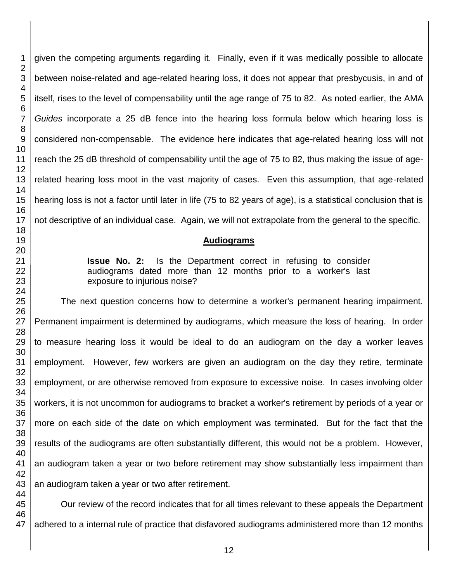given the competing arguments regarding it. Finally, even if it was medically possible to allocate between noise-related and age-related hearing loss, it does not appear that presbycusis, in and of itself, rises to the level of compensability until the age range of 75 to 82. As noted earlier, the AMA *Guides* incorporate a 25 dB fence into the hearing loss formula below which hearing loss is considered non-compensable. The evidence here indicates that age-related hearing loss will not reach the 25 dB threshold of compensability until the age of 75 to 82, thus making the issue of agerelated hearing loss moot in the vast majority of cases. Even this assumption, that age-related hearing loss is not a factor until later in life (75 to 82 years of age), is a statistical conclusion that is not descriptive of an individual case. Again, we will not extrapolate from the general to the specific.

## **Audiograms**

**Issue No. 2:** Is the Department correct in refusing to consider audiograms dated more than 12 months prior to a worker's last exposure to injurious noise?

The next question concerns how to determine a worker's permanent hearing impairment. Permanent impairment is determined by audiograms, which measure the loss of hearing. In order to measure hearing loss it would be ideal to do an audiogram on the day a worker leaves employment. However, few workers are given an audiogram on the day they retire, terminate employment, or are otherwise removed from exposure to excessive noise. In cases involving older workers, it is not uncommon for audiograms to bracket a worker's retirement by periods of a year or more on each side of the date on which employment was terminated. But for the fact that the results of the audiograms are often substantially different, this would not be a problem. However, an audiogram taken a year or two before retirement may show substantially less impairment than an audiogram taken a year or two after retirement.

Our review of the record indicates that for all times relevant to these appeals the Department adhered to a internal rule of practice that disfavored audiograms administered more than 12 months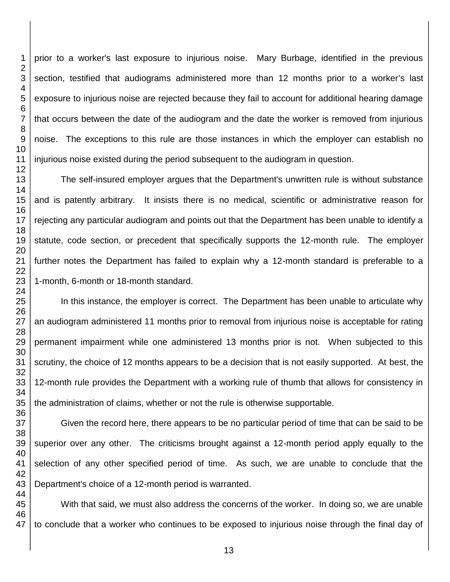prior to a worker's last exposure to injurious noise. Mary Burbage, identified in the previous section, testified that audiograms administered more than 12 months prior to a worker's last exposure to injurious noise are rejected because they fail to account for additional hearing damage that occurs between the date of the audiogram and the date the worker is removed from injurious noise. The exceptions to this rule are those instances in which the employer can establish no injurious noise existed during the period subsequent to the audiogram in question.

The self-insured employer argues that the Department's unwritten rule is without substance and is patently arbitrary. It insists there is no medical, scientific or administrative reason for rejecting any particular audiogram and points out that the Department has been unable to identify a statute, code section, or precedent that specifically supports the 12-month rule. The employer further notes the Department has failed to explain why a 12-month standard is preferable to a 1-month, 6-month or 18-month standard.

In this instance, the employer is correct. The Department has been unable to articulate why an audiogram administered 11 months prior to removal from injurious noise is acceptable for rating permanent impairment while one administered 13 months prior is not. When subjected to this scrutiny, the choice of 12 months appears to be a decision that is not easily supported. At best, the 12-month rule provides the Department with a working rule of thumb that allows for consistency in the administration of claims, whether or not the rule is otherwise supportable.

Given the record here, there appears to be no particular period of time that can be said to be superior over any other. The criticisms brought against a 12-month period apply equally to the selection of any other specified period of time. As such, we are unable to conclude that the Department's choice of a 12-month period is warranted.

With that said, we must also address the concerns of the worker. In doing so, we are unable to conclude that a worker who continues to be exposed to injurious noise through the final day of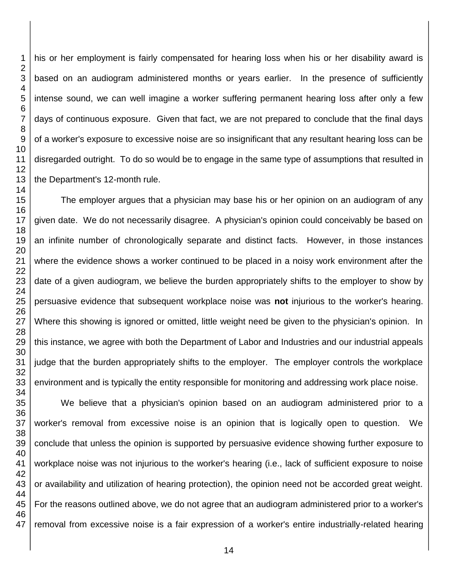his or her employment is fairly compensated for hearing loss when his or her disability award is based on an audiogram administered months or years earlier. In the presence of sufficiently intense sound, we can well imagine a worker suffering permanent hearing loss after only a few days of continuous exposure. Given that fact, we are not prepared to conclude that the final days of a worker's exposure to excessive noise are so insignificant that any resultant hearing loss can be disregarded outright. To do so would be to engage in the same type of assumptions that resulted in the Department's 12-month rule.

The employer argues that a physician may base his or her opinion on an audiogram of any given date. We do not necessarily disagree. A physician's opinion could conceivably be based on an infinite number of chronologically separate and distinct facts. However, in those instances where the evidence shows a worker continued to be placed in a noisy work environment after the date of a given audiogram, we believe the burden appropriately shifts to the employer to show by persuasive evidence that subsequent workplace noise was **not** injurious to the worker's hearing. Where this showing is ignored or omitted, little weight need be given to the physician's opinion. In this instance, we agree with both the Department of Labor and Industries and our industrial appeals judge that the burden appropriately shifts to the employer. The employer controls the workplace environment and is typically the entity responsible for monitoring and addressing work place noise.

We believe that a physician's opinion based on an audiogram administered prior to a worker's removal from excessive noise is an opinion that is logically open to question. We conclude that unless the opinion is supported by persuasive evidence showing further exposure to workplace noise was not injurious to the worker's hearing (i.e., lack of sufficient exposure to noise or availability and utilization of hearing protection), the opinion need not be accorded great weight. For the reasons outlined above, we do not agree that an audiogram administered prior to a worker's removal from excessive noise is a fair expression of a worker's entire industrially-related hearing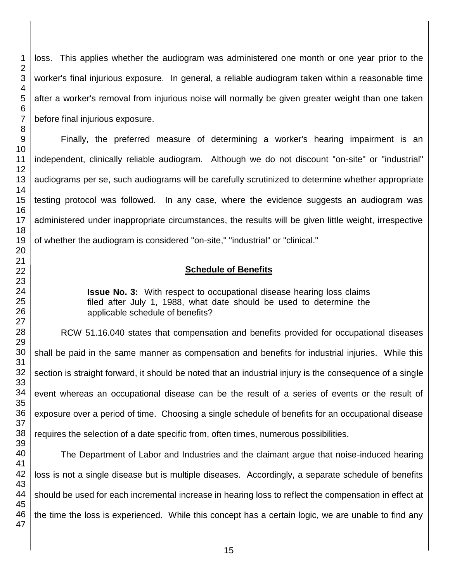loss. This applies whether the audiogram was administered one month or one year prior to the worker's final injurious exposure. In general, a reliable audiogram taken within a reasonable time after a worker's removal from injurious noise will normally be given greater weight than one taken before final injurious exposure.

Finally, the preferred measure of determining a worker's hearing impairment is an independent, clinically reliable audiogram. Although we do not discount "on-site" or "industrial" audiograms per se, such audiograms will be carefully scrutinized to determine whether appropriate testing protocol was followed. In any case, where the evidence suggests an audiogram was administered under inappropriate circumstances, the results will be given little weight, irrespective of whether the audiogram is considered "on-site," "industrial" or "clinical."

## **Schedule of Benefits**

**Issue No. 3:** With respect to occupational disease hearing loss claims filed after July 1, 1988, what date should be used to determine the applicable schedule of benefits?

RCW 51.16.040 states that compensation and benefits provided for occupational diseases shall be paid in the same manner as compensation and benefits for industrial injuries. While this section is straight forward, it should be noted that an industrial injury is the consequence of a single event whereas an occupational disease can be the result of a series of events or the result of exposure over a period of time. Choosing a single schedule of benefits for an occupational disease requires the selection of a date specific from, often times, numerous possibilities.

The Department of Labor and Industries and the claimant argue that noise-induced hearing loss is not a single disease but is multiple diseases. Accordingly, a separate schedule of benefits should be used for each incremental increase in hearing loss to reflect the compensation in effect at the time the loss is experienced. While this concept has a certain logic, we are unable to find any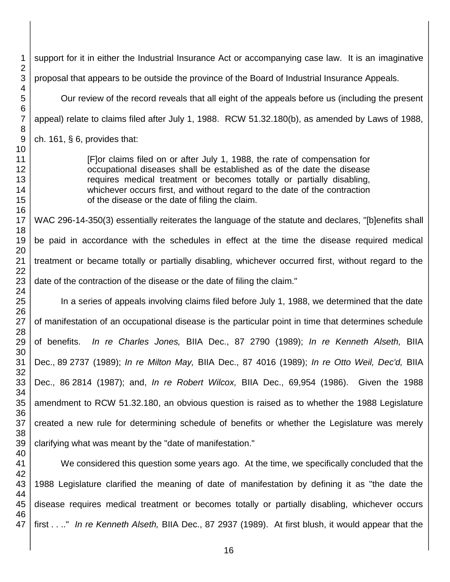support for it in either the Industrial Insurance Act or accompanying case law. It is an imaginative proposal that appears to be outside the province of the Board of Industrial Insurance Appeals. Our review of the record reveals that all eight of the appeals before us (including the present appeal) relate to claims filed after July 1, 1988. RCW 51.32.180(b), as amended by Laws of 1988, ch. 161, § 6, provides that: [F]or claims filed on or after July 1, 1988, the rate of compensation for occupational diseases shall be established as of the date the disease requires medical treatment or becomes totally or partially disabling, whichever occurs first, and without regard to the date of the contraction of the disease or the date of filing the claim. WAC 296-14-350(3) essentially reiterates the language of the statute and declares, "[b]enefits shall be paid in accordance with the schedules in effect at the time the disease required medical treatment or became totally or partially disabling, whichever occurred first, without regard to the date of the contraction of the disease or the date of filing the claim." In a series of appeals involving claims filed before July 1, 1988, we determined that the date of manifestation of an occupational disease is the particular point in time that determines schedule of benefits. *In re Charles Jones,* BIIA Dec., 87 2790 (1989); *In re Kenneth Alseth,* BIIA Dec., 89 2737 (1989); *In re Milton May,* BIIA Dec., 87 4016 (1989); *In re Otto Weil, Dec'd,* BIIA Dec., 86 2814 (1987); and, *In re Robert Wilcox,* BIIA Dec., 69,954 (1986). Given the 1988 amendment to RCW 51.32.180, an obvious question is raised as to whether the 1988 Legislature created a new rule for determining schedule of benefits or whether the Legislature was merely clarifying what was meant by the "date of manifestation." We considered this question some years ago. At the time, we specifically concluded that the 1988 Legislature clarified the meaning of date of manifestation by defining it as "the date the disease requires medical treatment or becomes totally or partially disabling, whichever occurs

 first . . .." *In re Kenneth Alseth,* BIIA Dec., 87 2937 (1989). At first blush, it would appear that the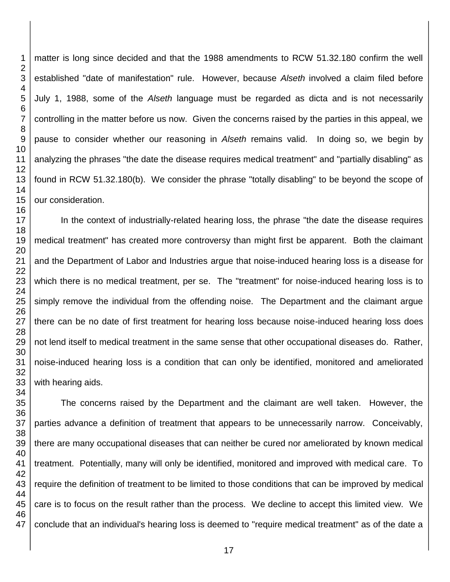matter is long since decided and that the 1988 amendments to RCW 51.32.180 confirm the well established "date of manifestation" rule. However, because *Alseth* involved a claim filed before July 1, 1988, some of the *Alseth* language must be regarded as dicta and is not necessarily controlling in the matter before us now. Given the concerns raised by the parties in this appeal, we pause to consider whether our reasoning in *Alseth* remains valid. In doing so, we begin by analyzing the phrases "the date the disease requires medical treatment" and "partially disabling" as found in RCW 51.32.180(b). We consider the phrase "totally disabling" to be beyond the scope of our consideration.

In the context of industrially-related hearing loss, the phrase "the date the disease requires medical treatment" has created more controversy than might first be apparent. Both the claimant and the Department of Labor and Industries argue that noise-induced hearing loss is a disease for which there is no medical treatment, per se. The "treatment" for noise-induced hearing loss is to simply remove the individual from the offending noise. The Department and the claimant argue there can be no date of first treatment for hearing loss because noise-induced hearing loss does not lend itself to medical treatment in the same sense that other occupational diseases do. Rather, noise-induced hearing loss is a condition that can only be identified, monitored and ameliorated with hearing aids.

The concerns raised by the Department and the claimant are well taken. However, the parties advance a definition of treatment that appears to be unnecessarily narrow. Conceivably, there are many occupational diseases that can neither be cured nor ameliorated by known medical treatment. Potentially, many will only be identified, monitored and improved with medical care. To require the definition of treatment to be limited to those conditions that can be improved by medical care is to focus on the result rather than the process. We decline to accept this limited view. We conclude that an individual's hearing loss is deemed to "require medical treatment" as of the date a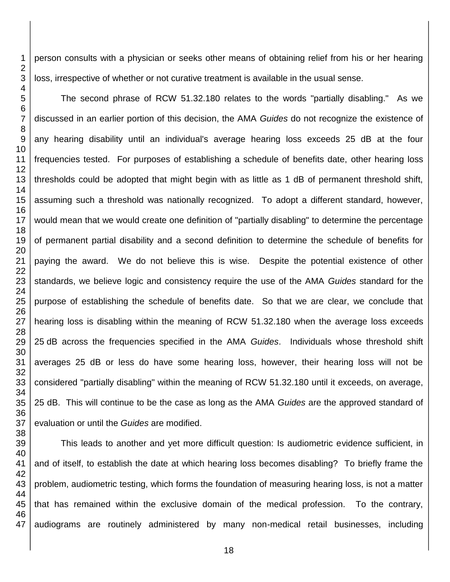person consults with a physician or seeks other means of obtaining relief from his or her hearing loss, irrespective of whether or not curative treatment is available in the usual sense.

The second phrase of RCW 51.32.180 relates to the words "partially disabling." As we discussed in an earlier portion of this decision, the AMA *Guides* do not recognize the existence of any hearing disability until an individual's average hearing loss exceeds 25 dB at the four frequencies tested. For purposes of establishing a schedule of benefits date, other hearing loss thresholds could be adopted that might begin with as little as 1 dB of permanent threshold shift, assuming such a threshold was nationally recognized. To adopt a different standard, however, would mean that we would create one definition of "partially disabling" to determine the percentage of permanent partial disability and a second definition to determine the schedule of benefits for paying the award. We do not believe this is wise. Despite the potential existence of other standards, we believe logic and consistency require the use of the AMA *Guides* standard for the purpose of establishing the schedule of benefits date. So that we are clear, we conclude that hearing loss is disabling within the meaning of RCW 51.32.180 when the average loss exceeds dB across the frequencies specified in the AMA *Guides*. Individuals whose threshold shift averages 25 dB or less do have some hearing loss, however, their hearing loss will not be considered "partially disabling" within the meaning of RCW 51.32.180 until it exceeds, on average, 25 dB. This will continue to be the case as long as the AMA *Guides* are the approved standard of evaluation or until the *Guides* are modified.

 This leads to another and yet more difficult question: Is audiometric evidence sufficient, in and of itself, to establish the date at which hearing loss becomes disabling? To briefly frame the problem, audiometric testing, which forms the foundation of measuring hearing loss, is not a matter that has remained within the exclusive domain of the medical profession. To the contrary, audiograms are routinely administered by many non-medical retail businesses, including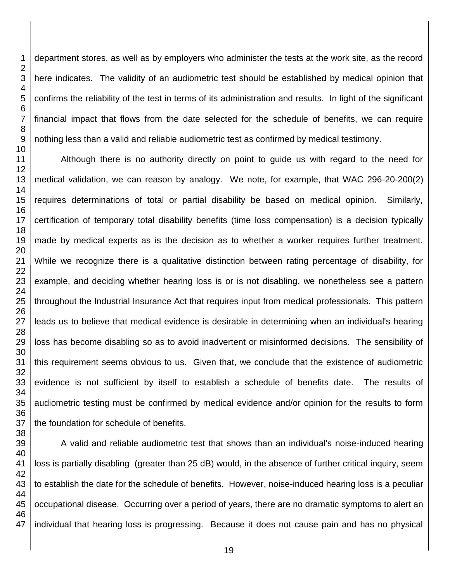department stores, as well as by employers who administer the tests at the work site, as the record here indicates. The validity of an audiometric test should be established by medical opinion that confirms the reliability of the test in terms of its administration and results. In light of the significant financial impact that flows from the date selected for the schedule of benefits, we can require nothing less than a valid and reliable audiometric test as confirmed by medical testimony.

Although there is no authority directly on point to guide us with regard to the need for medical validation, we can reason by analogy. We note, for example, that WAC 296-20-200(2) requires determinations of total or partial disability be based on medical opinion. Similarly, certification of temporary total disability benefits (time loss compensation) is a decision typically made by medical experts as is the decision as to whether a worker requires further treatment. While we recognize there is a qualitative distinction between rating percentage of disability, for example, and deciding whether hearing loss is or is not disabling, we nonetheless see a pattern throughout the Industrial Insurance Act that requires input from medical professionals. This pattern leads us to believe that medical evidence is desirable in determining when an individual's hearing loss has become disabling so as to avoid inadvertent or misinformed decisions. The sensibility of this requirement seems obvious to us. Given that, we conclude that the existence of audiometric evidence is not sufficient by itself to establish a schedule of benefits date. The results of audiometric testing must be confirmed by medical evidence and/or opinion for the results to form the foundation for schedule of benefits.

 A valid and reliable audiometric test that shows than an individual's noise-induced hearing loss is partially disabling (greater than 25 dB) would, in the absence of further critical inquiry, seem to establish the date for the schedule of benefits. However, noise-induced hearing loss is a peculiar occupational disease. Occurring over a period of years, there are no dramatic symptoms to alert an individual that hearing loss is progressing. Because it does not cause pain and has no physical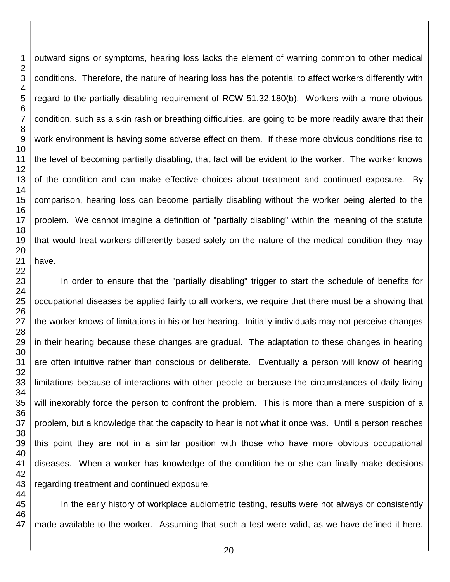outward signs or symptoms, hearing loss lacks the element of warning common to other medical conditions. Therefore, the nature of hearing loss has the potential to affect workers differently with regard to the partially disabling requirement of RCW 51.32.180(b). Workers with a more obvious condition, such as a skin rash or breathing difficulties, are going to be more readily aware that their work environment is having some adverse effect on them. If these more obvious conditions rise to the level of becoming partially disabling, that fact will be evident to the worker. The worker knows of the condition and can make effective choices about treatment and continued exposure. By comparison, hearing loss can become partially disabling without the worker being alerted to the problem. We cannot imagine a definition of "partially disabling" within the meaning of the statute that would treat workers differently based solely on the nature of the medical condition they may have.

In order to ensure that the "partially disabling" trigger to start the schedule of benefits for occupational diseases be applied fairly to all workers, we require that there must be a showing that the worker knows of limitations in his or her hearing. Initially individuals may not perceive changes in their hearing because these changes are gradual. The adaptation to these changes in hearing are often intuitive rather than conscious or deliberate. Eventually a person will know of hearing limitations because of interactions with other people or because the circumstances of daily living will inexorably force the person to confront the problem. This is more than a mere suspicion of a problem, but a knowledge that the capacity to hear is not what it once was. Until a person reaches this point they are not in a similar position with those who have more obvious occupational diseases. When a worker has knowledge of the condition he or she can finally make decisions regarding treatment and continued exposure.

In the early history of workplace audiometric testing, results were not always or consistently made available to the worker. Assuming that such a test were valid, as we have defined it here,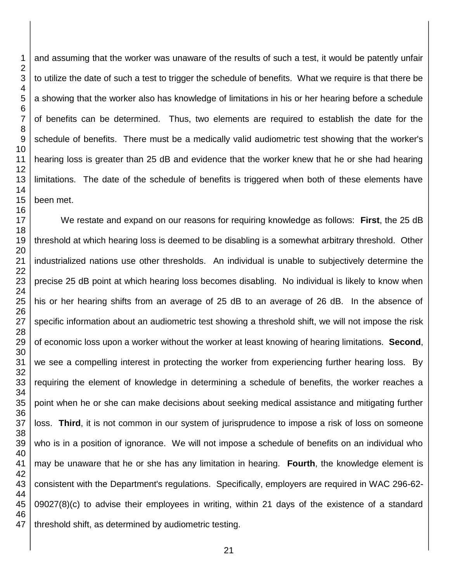and assuming that the worker was unaware of the results of such a test, it would be patently unfair to utilize the date of such a test to trigger the schedule of benefits. What we require is that there be a showing that the worker also has knowledge of limitations in his or her hearing before a schedule of benefits can be determined. Thus, two elements are required to establish the date for the schedule of benefits. There must be a medically valid audiometric test showing that the worker's hearing loss is greater than 25 dB and evidence that the worker knew that he or she had hearing limitations. The date of the schedule of benefits is triggered when both of these elements have

We restate and expand on our reasons for requiring knowledge as follows: **First**, the 25 dB threshold at which hearing loss is deemed to be disabling is a somewhat arbitrary threshold. Other industrialized nations use other thresholds. An individual is unable to subjectively determine the precise 25 dB point at which hearing loss becomes disabling. No individual is likely to know when his or her hearing shifts from an average of 25 dB to an average of 26 dB. In the absence of specific information about an audiometric test showing a threshold shift, we will not impose the risk of economic loss upon a worker without the worker at least knowing of hearing limitations. **Second**, we see a compelling interest in protecting the worker from experiencing further hearing loss. By requiring the element of knowledge in determining a schedule of benefits, the worker reaches a point when he or she can make decisions about seeking medical assistance and mitigating further loss. **Third**, it is not common in our system of jurisprudence to impose a risk of loss on someone who is in a position of ignorance. We will not impose a schedule of benefits on an individual who may be unaware that he or she has any limitation in hearing. **Fourth**, the knowledge element is consistent with the Department's regulations. Specifically, employers are required in WAC 296-62- 09027(8)(c) to advise their employees in writing, within 21 days of the existence of a standard threshold shift, as determined by audiometric testing.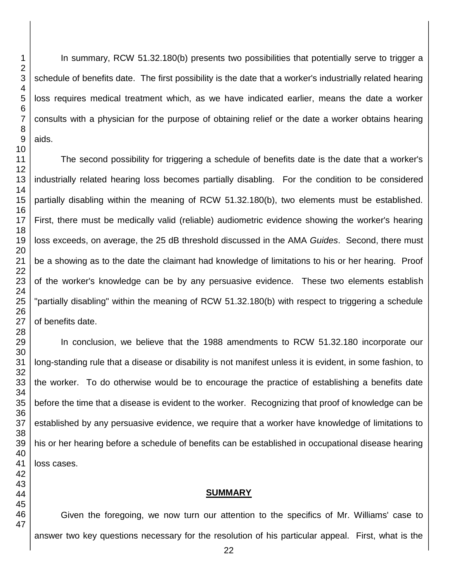In summary, RCW 51.32.180(b) presents two possibilities that potentially serve to trigger a schedule of benefits date. The first possibility is the date that a worker's industrially related hearing loss requires medical treatment which, as we have indicated earlier, means the date a worker consults with a physician for the purpose of obtaining relief or the date a worker obtains hearing aids.

The second possibility for triggering a schedule of benefits date is the date that a worker's industrially related hearing loss becomes partially disabling. For the condition to be considered partially disabling within the meaning of RCW 51.32.180(b), two elements must be established. First, there must be medically valid (reliable) audiometric evidence showing the worker's hearing loss exceeds, on average, the 25 dB threshold discussed in the AMA *Guides*. Second, there must be a showing as to the date the claimant had knowledge of limitations to his or her hearing. Proof of the worker's knowledge can be by any persuasive evidence. These two elements establish "partially disabling" within the meaning of RCW 51.32.180(b) with respect to triggering a schedule of benefits date.

In conclusion, we believe that the 1988 amendments to RCW 51.32.180 incorporate our long-standing rule that a disease or disability is not manifest unless it is evident, in some fashion, to the worker. To do otherwise would be to encourage the practice of establishing a benefits date before the time that a disease is evident to the worker. Recognizing that proof of knowledge can be established by any persuasive evidence, we require that a worker have knowledge of limitations to his or her hearing before a schedule of benefits can be established in occupational disease hearing loss cases.

### **SUMMARY**

Given the foregoing, we now turn our attention to the specifics of Mr. Williams' case to answer two key questions necessary for the resolution of his particular appeal. First, what is the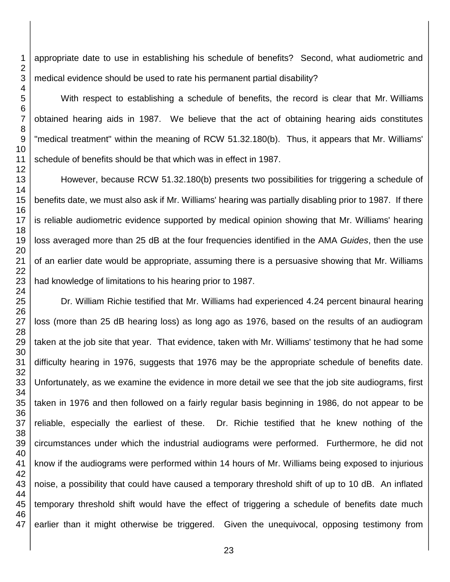appropriate date to use in establishing his schedule of benefits? Second, what audiometric and medical evidence should be used to rate his permanent partial disability?

With respect to establishing a schedule of benefits, the record is clear that Mr. Williams obtained hearing aids in 1987. We believe that the act of obtaining hearing aids constitutes "medical treatment" within the meaning of RCW 51.32.180(b). Thus, it appears that Mr. Williams' schedule of benefits should be that which was in effect in 1987.

However, because RCW 51.32.180(b) presents two possibilities for triggering a schedule of benefits date, we must also ask if Mr. Williams' hearing was partially disabling prior to 1987. If there is reliable audiometric evidence supported by medical opinion showing that Mr. Williams' hearing loss averaged more than 25 dB at the four frequencies identified in the AMA *Guides*, then the use of an earlier date would be appropriate, assuming there is a persuasive showing that Mr. Williams had knowledge of limitations to his hearing prior to 1987.

Dr. William Richie testified that Mr. Williams had experienced 4.24 percent binaural hearing loss (more than 25 dB hearing loss) as long ago as 1976, based on the results of an audiogram taken at the job site that year. That evidence, taken with Mr. Williams' testimony that he had some difficulty hearing in 1976, suggests that 1976 may be the appropriate schedule of benefits date. Unfortunately, as we examine the evidence in more detail we see that the job site audiograms, first taken in 1976 and then followed on a fairly regular basis beginning in 1986, do not appear to be reliable, especially the earliest of these. Dr. Richie testified that he knew nothing of the circumstances under which the industrial audiograms were performed. Furthermore, he did not know if the audiograms were performed within 14 hours of Mr. Williams being exposed to injurious noise, a possibility that could have caused a temporary threshold shift of up to 10 dB. An inflated temporary threshold shift would have the effect of triggering a schedule of benefits date much earlier than it might otherwise be triggered. Given the unequivocal, opposing testimony from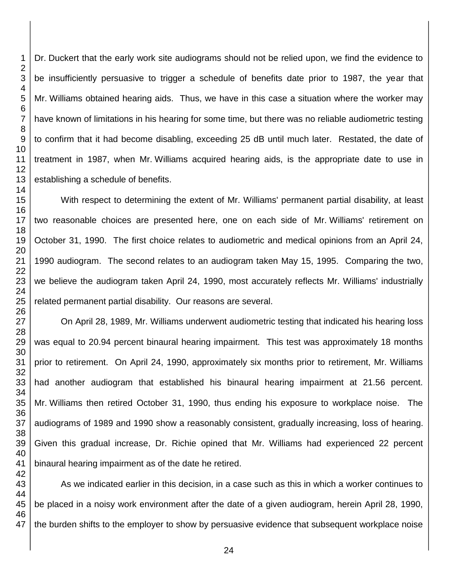Dr. Duckert that the early work site audiograms should not be relied upon, we find the evidence to be insufficiently persuasive to trigger a schedule of benefits date prior to 1987, the year that Mr. Williams obtained hearing aids. Thus, we have in this case a situation where the worker may have known of limitations in his hearing for some time, but there was no reliable audiometric testing to confirm that it had become disabling, exceeding 25 dB until much later. Restated, the date of treatment in 1987, when Mr. Williams acquired hearing aids, is the appropriate date to use in establishing a schedule of benefits.

With respect to determining the extent of Mr. Williams' permanent partial disability, at least two reasonable choices are presented here, one on each side of Mr. Williams' retirement on October 31, 1990. The first choice relates to audiometric and medical opinions from an April 24, 1990 audiogram. The second relates to an audiogram taken May 15, 1995. Comparing the two, we believe the audiogram taken April 24, 1990, most accurately reflects Mr. Williams' industrially related permanent partial disability. Our reasons are several.

On April 28, 1989, Mr. Williams underwent audiometric testing that indicated his hearing loss was equal to 20.94 percent binaural hearing impairment. This test was approximately 18 months prior to retirement. On April 24, 1990, approximately six months prior to retirement, Mr. Williams had another audiogram that established his binaural hearing impairment at 21.56 percent. Mr. Williams then retired October 31, 1990, thus ending his exposure to workplace noise. The audiograms of 1989 and 1990 show a reasonably consistent, gradually increasing, loss of hearing. Given this gradual increase, Dr. Richie opined that Mr. Williams had experienced 22 percent binaural hearing impairment as of the date he retired.

As we indicated earlier in this decision, in a case such as this in which a worker continues to be placed in a noisy work environment after the date of a given audiogram, herein April 28, 1990, the burden shifts to the employer to show by persuasive evidence that subsequent workplace noise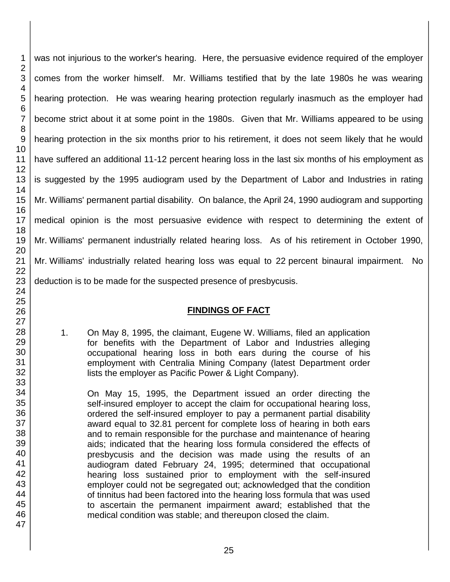was not injurious to the worker's hearing. Here, the persuasive evidence required of the employer comes from the worker himself. Mr. Williams testified that by the late 1980s he was wearing hearing protection. He was wearing hearing protection regularly inasmuch as the employer had become strict about it at some point in the 1980s. Given that Mr. Williams appeared to be using hearing protection in the six months prior to his retirement, it does not seem likely that he would have suffered an additional 11-12 percent hearing loss in the last six months of his employment as is suggested by the 1995 audiogram used by the Department of Labor and Industries in rating Mr. Williams' permanent partial disability. On balance, the April 24, 1990 audiogram and supporting medical opinion is the most persuasive evidence with respect to determining the extent of Mr. Williams' permanent industrially related hearing loss. As of his retirement in October 1990, Mr. Williams' industrially related hearing loss was equal to 22 percent binaural impairment. No deduction is to be made for the suspected presence of presbycusis.

## **FINDINGS OF FACT**

1. On May 8, 1995, the claimant, Eugene W. Williams, filed an application for benefits with the Department of Labor and Industries alleging occupational hearing loss in both ears during the course of his employment with Centralia Mining Company (latest Department order lists the employer as Pacific Power & Light Company).

On May 15, 1995, the Department issued an order directing the self-insured employer to accept the claim for occupational hearing loss, ordered the self-insured employer to pay a permanent partial disability award equal to 32.81 percent for complete loss of hearing in both ears and to remain responsible for the purchase and maintenance of hearing aids; indicated that the hearing loss formula considered the effects of presbycusis and the decision was made using the results of an audiogram dated February 24, 1995; determined that occupational hearing loss sustained prior to employment with the self-insured employer could not be segregated out; acknowledged that the condition of tinnitus had been factored into the hearing loss formula that was used to ascertain the permanent impairment award; established that the medical condition was stable; and thereupon closed the claim.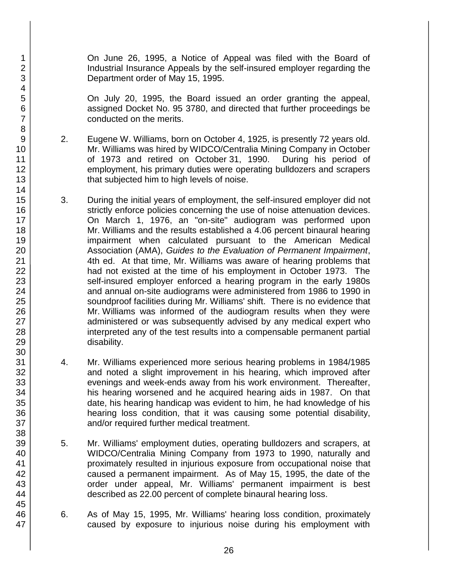On June 26, 1995, a Notice of Appeal was filed with the Board of Industrial Insurance Appeals by the self-insured employer regarding the Department order of May 15, 1995.

On July 20, 1995, the Board issued an order granting the appeal, assigned Docket No. 95 3780, and directed that further proceedings be conducted on the merits.

- 2. Eugene W. Williams, born on October 4, 1925, is presently 72 years old. Mr. Williams was hired by WIDCO/Centralia Mining Company in October of 1973 and retired on October 31, 1990. During his period of employment, his primary duties were operating bulldozers and scrapers that subjected him to high levels of noise.
- 3. During the initial years of employment, the self-insured employer did not strictly enforce policies concerning the use of noise attenuation devices. On March 1, 1976, an "on-site" audiogram was performed upon Mr. Williams and the results established a 4.06 percent binaural hearing impairment when calculated pursuant to the American Medical Association (AMA), *Guides to the Evaluation of Permanent Impairment*, 4th ed. At that time, Mr. Williams was aware of hearing problems that had not existed at the time of his employment in October 1973. The self-insured employer enforced a hearing program in the early 1980s and annual on-site audiograms were administered from 1986 to 1990 in soundproof facilities during Mr. Williams' shift. There is no evidence that Mr. Williams was informed of the audiogram results when they were administered or was subsequently advised by any medical expert who interpreted any of the test results into a compensable permanent partial disability.
- 4. Mr. Williams experienced more serious hearing problems in 1984/1985 and noted a slight improvement in his hearing, which improved after evenings and week-ends away from his work environment. Thereafter, his hearing worsened and he acquired hearing aids in 1987. On that date, his hearing handicap was evident to him, he had knowledge of his hearing loss condition, that it was causing some potential disability, and/or required further medical treatment.
- 5. Mr. Williams' employment duties, operating bulldozers and scrapers, at WIDCO/Centralia Mining Company from 1973 to 1990, naturally and proximately resulted in injurious exposure from occupational noise that caused a permanent impairment. As of May 15, 1995, the date of the order under appeal, Mr. Williams' permanent impairment is best described as 22.00 percent of complete binaural hearing loss.
- 6. As of May 15, 1995, Mr. Williams' hearing loss condition, proximately caused by exposure to injurious noise during his employment with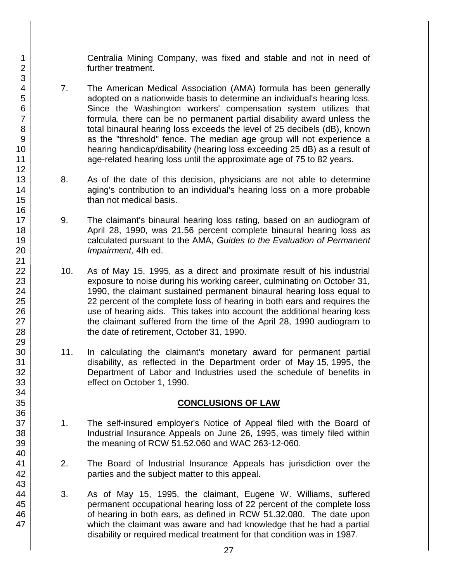Centralia Mining Company, was fixed and stable and not in need of further treatment.

- 7. The American Medical Association (AMA) formula has been generally adopted on a nationwide basis to determine an individual's hearing loss. Since the Washington workers' compensation system utilizes that formula, there can be no permanent partial disability award unless the total binaural hearing loss exceeds the level of 25 decibels (dB), known as the "threshold" fence. The median age group will not experience a hearing handicap/disability (hearing loss exceeding 25 dB) as a result of age-related hearing loss until the approximate age of 75 to 82 years.
- 8. As of the date of this decision, physicians are not able to determine aging's contribution to an individual's hearing loss on a more probable than not medical basis.
- 9. The claimant's binaural hearing loss rating, based on an audiogram of April 28, 1990, was 21.56 percent complete binaural hearing loss as calculated pursuant to the AMA, *Guides to the Evaluation of Permanent Impairment,* 4th ed.
- 10. As of May 15, 1995, as a direct and proximate result of his industrial exposure to noise during his working career, culminating on October 31, 1990, the claimant sustained permanent binaural hearing loss equal to 22 percent of the complete loss of hearing in both ears and requires the use of hearing aids. This takes into account the additional hearing loss the claimant suffered from the time of the April 28, 1990 audiogram to the date of retirement, October 31, 1990.
- 11. In calculating the claimant's monetary award for permanent partial disability, as reflected in the Department order of May 15, 1995, the Department of Labor and Industries used the schedule of benefits in effect on October 1, 1990.

## **CONCLUSIONS OF LAW**

- 1. The self-insured employer's Notice of Appeal filed with the Board of Industrial Insurance Appeals on June 26, 1995, was timely filed within the meaning of RCW 51.52.060 and WAC 263-12-060.
- 2. The Board of Industrial Insurance Appeals has jurisdiction over the parties and the subject matter to this appeal.
- 3. As of May 15, 1995, the claimant, Eugene W. Williams, suffered permanent occupational hearing loss of 22 percent of the complete loss of hearing in both ears, as defined in RCW 51.32.080. The date upon which the claimant was aware and had knowledge that he had a partial disability or required medical treatment for that condition was in 1987.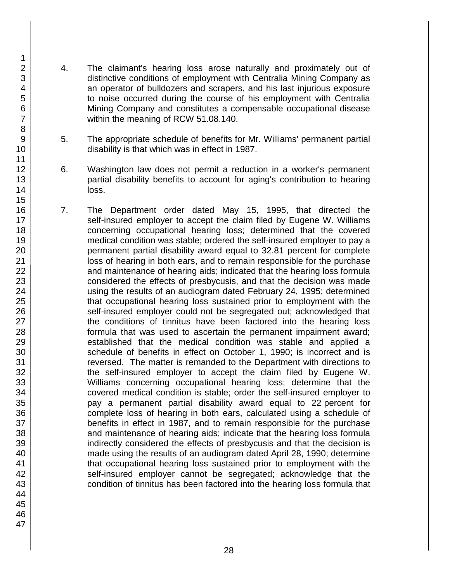- 4. The claimant's hearing loss arose naturally and proximately out of distinctive conditions of employment with Centralia Mining Company as an operator of bulldozers and scrapers, and his last injurious exposure to noise occurred during the course of his employment with Centralia Mining Company and constitutes a compensable occupational disease within the meaning of RCW 51.08.140.
- 5. The appropriate schedule of benefits for Mr. Williams' permanent partial disability is that which was in effect in 1987.
- 6. Washington law does not permit a reduction in a worker's permanent partial disability benefits to account for aging's contribution to hearing loss.
- 7. The Department order dated May 15, 1995, that directed the self-insured employer to accept the claim filed by Eugene W. Williams concerning occupational hearing loss; determined that the covered medical condition was stable; ordered the self-insured employer to pay a permanent partial disability award equal to 32.81 percent for complete loss of hearing in both ears, and to remain responsible for the purchase and maintenance of hearing aids; indicated that the hearing loss formula considered the effects of presbycusis, and that the decision was made using the results of an audiogram dated February 24, 1995; determined that occupational hearing loss sustained prior to employment with the self-insured employer could not be segregated out; acknowledged that the conditions of tinnitus have been factored into the hearing loss formula that was used to ascertain the permanent impairment award; established that the medical condition was stable and applied a schedule of benefits in effect on October 1, 1990; is incorrect and is reversed. The matter is remanded to the Department with directions to the self-insured employer to accept the claim filed by Eugene W. Williams concerning occupational hearing loss; determine that the covered medical condition is stable; order the self-insured employer to pay a permanent partial disability award equal to 22 percent for complete loss of hearing in both ears, calculated using a schedule of benefits in effect in 1987, and to remain responsible for the purchase and maintenance of hearing aids; indicate that the hearing loss formula indirectly considered the effects of presbycusis and that the decision is made using the results of an audiogram dated April 28, 1990; determine that occupational hearing loss sustained prior to employment with the self-insured employer cannot be segregated; acknowledge that the condition of tinnitus has been factored into the hearing loss formula that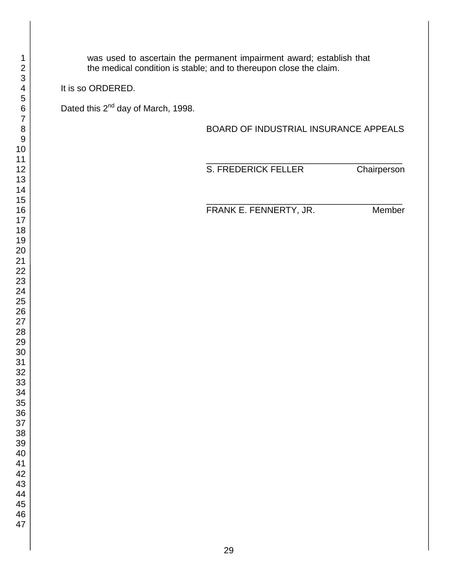was used to ascertain the permanent impairment award; establish that the medical condition is stable; and to thereupon close the claim.

It is so ORDERED.

Dated this 2<sup>nd</sup> day of March, 1998.

BOARD OF INDUSTRIAL INSURANCE APPEALS

\_\_\_\_\_\_\_\_\_\_\_\_\_\_\_\_\_\_\_\_\_\_\_\_\_\_\_\_\_\_\_\_\_\_\_\_\_\_\_\_

\_\_\_\_\_\_\_\_\_\_\_\_\_\_\_\_\_\_\_\_\_\_\_\_\_\_\_\_\_\_\_\_\_\_\_\_\_\_\_\_

S. FREDERICK FELLER Chairperson

FRANK E. FENNERTY, JR. Member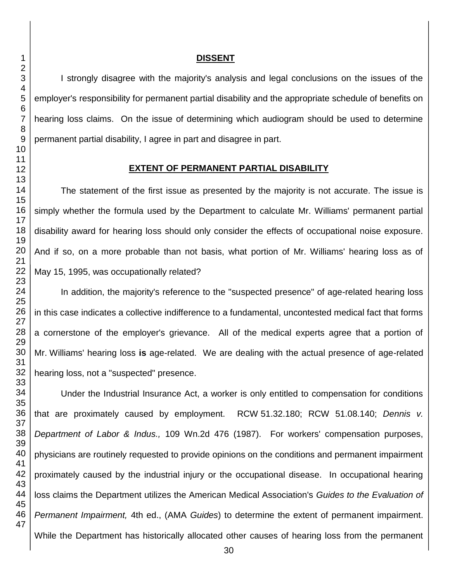### **DISSENT**

I strongly disagree with the majority's analysis and legal conclusions on the issues of the employer's responsibility for permanent partial disability and the appropriate schedule of benefits on hearing loss claims. On the issue of determining which audiogram should be used to determine permanent partial disability, I agree in part and disagree in part.

#### **EXTENT OF PERMANENT PARTIAL DISABILITY**

The statement of the first issue as presented by the majority is not accurate. The issue is simply whether the formula used by the Department to calculate Mr. Williams' permanent partial disability award for hearing loss should only consider the effects of occupational noise exposure. And if so, on a more probable than not basis, what portion of Mr. Williams' hearing loss as of May 15, 1995, was occupationally related?

In addition, the majority's reference to the "suspected presence" of age-related hearing loss in this case indicates a collective indifference to a fundamental, uncontested medical fact that forms a cornerstone of the employer's grievance. All of the medical experts agree that a portion of Mr. Williams' hearing loss **is** age-related. We are dealing with the actual presence of age-related hearing loss, not a "suspected" presence.

Under the Industrial Insurance Act, a worker is only entitled to compensation for conditions that are proximately caused by employment. RCW 51.32.180; RCW 51.08.140; *Dennis v. Department of Labor & Indus.,* 109 Wn.2d 476 (1987). For workers' compensation purposes, physicians are routinely requested to provide opinions on the conditions and permanent impairment proximately caused by the industrial injury or the occupational disease. In occupational hearing loss claims the Department utilizes the American Medical Association's *Guides to the Evaluation of Permanent Impairment,* 4th ed., (AMA *Guides*) to determine the extent of permanent impairment. While the Department has historically allocated other causes of hearing loss from the permanent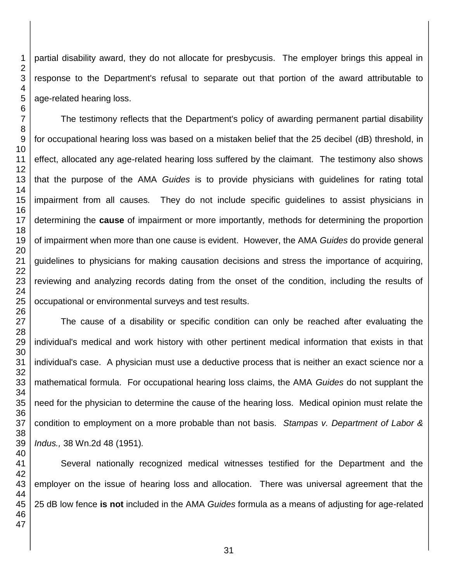partial disability award, they do not allocate for presbycusis. The employer brings this appeal in response to the Department's refusal to separate out that portion of the award attributable to age-related hearing loss.

The testimony reflects that the Department's policy of awarding permanent partial disability for occupational hearing loss was based on a mistaken belief that the 25 decibel (dB) threshold, in effect, allocated any age-related hearing loss suffered by the claimant. The testimony also shows that the purpose of the AMA *Guides* is to provide physicians with guidelines for rating total impairment from all causes*.* They do not include specific guidelines to assist physicians in determining the **cause** of impairment or more importantly, methods for determining the proportion of impairment when more than one cause is evident. However, the AMA *Guides* do provide general guidelines to physicians for making causation decisions and stress the importance of acquiring, reviewing and analyzing records dating from the onset of the condition, including the results of occupational or environmental surveys and test results.

The cause of a disability or specific condition can only be reached after evaluating the individual's medical and work history with other pertinent medical information that exists in that individual's case. A physician must use a deductive process that is neither an exact science nor a mathematical formula. For occupational hearing loss claims, the AMA *Guides* do not supplant the need for the physician to determine the cause of the hearing loss. Medical opinion must relate the condition to employment on a more probable than not basis. *Stampas v. Department of Labor & Indus.,* 38 Wn.2d 48 (1951)*.*

Several nationally recognized medical witnesses testified for the Department and the employer on the issue of hearing loss and allocation. There was universal agreement that the dB low fence **is not** included in the AMA *Guides* formula as a means of adjusting for age-related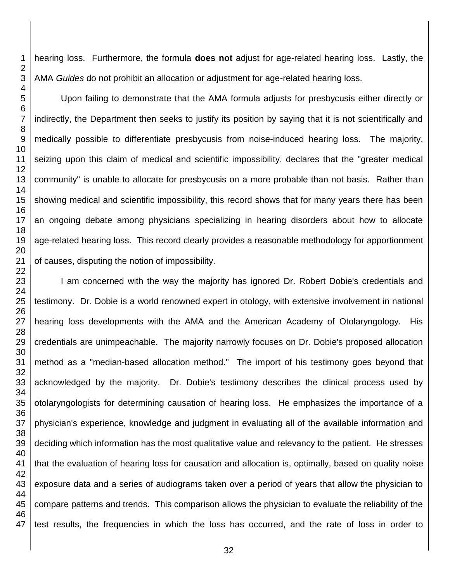hearing loss. Furthermore, the formula **does not** adjust for age-related hearing loss. Lastly, the AMA *Guides* do not prohibit an allocation or adjustment for age-related hearing loss.

Upon failing to demonstrate that the AMA formula adjusts for presbycusis either directly or indirectly, the Department then seeks to justify its position by saying that it is not scientifically and medically possible to differentiate presbycusis from noise-induced hearing loss. The majority, seizing upon this claim of medical and scientific impossibility, declares that the "greater medical community" is unable to allocate for presbycusis on a more probable than not basis. Rather than showing medical and scientific impossibility, this record shows that for many years there has been an ongoing debate among physicians specializing in hearing disorders about how to allocate age-related hearing loss. This record clearly provides a reasonable methodology for apportionment of causes, disputing the notion of impossibility.

I am concerned with the way the majority has ignored Dr. Robert Dobie's credentials and testimony. Dr. Dobie is a world renowned expert in otology, with extensive involvement in national hearing loss developments with the AMA and the American Academy of Otolaryngology. His credentials are unimpeachable. The majority narrowly focuses on Dr. Dobie's proposed allocation method as a "median-based allocation method." The import of his testimony goes beyond that acknowledged by the majority. Dr. Dobie's testimony describes the clinical process used by otolaryngologists for determining causation of hearing loss. He emphasizes the importance of a physician's experience, knowledge and judgment in evaluating all of the available information and deciding which information has the most qualitative value and relevancy to the patient. He stresses that the evaluation of hearing loss for causation and allocation is, optimally, based on quality noise exposure data and a series of audiograms taken over a period of years that allow the physician to compare patterns and trends. This comparison allows the physician to evaluate the reliability of the test results, the frequencies in which the loss has occurred, and the rate of loss in order to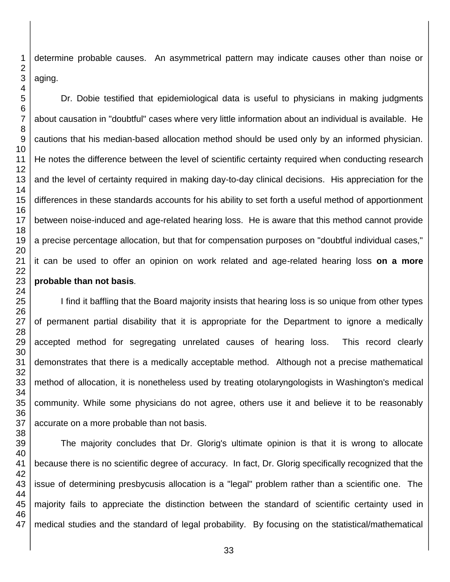determine probable causes. An asymmetrical pattern may indicate causes other than noise or aging.

Dr. Dobie testified that epidemiological data is useful to physicians in making judgments about causation in "doubtful" cases where very little information about an individual is available. He cautions that his median-based allocation method should be used only by an informed physician. He notes the difference between the level of scientific certainty required when conducting research and the level of certainty required in making day-to-day clinical decisions. His appreciation for the differences in these standards accounts for his ability to set forth a useful method of apportionment between noise-induced and age-related hearing loss. He is aware that this method cannot provide a precise percentage allocation, but that for compensation purposes on "doubtful individual cases," it can be used to offer an opinion on work related and age-related hearing loss **on a more probable than not basis***.*

I find it baffling that the Board majority insists that hearing loss is so unique from other types of permanent partial disability that it is appropriate for the Department to ignore a medically accepted method for segregating unrelated causes of hearing loss. This record clearly demonstrates that there is a medically acceptable method. Although not a precise mathematical method of allocation, it is nonetheless used by treating otolaryngologists in Washington's medical community. While some physicians do not agree, others use it and believe it to be reasonably accurate on a more probable than not basis.

 The majority concludes that Dr. Glorig's ultimate opinion is that it is wrong to allocate because there is no scientific degree of accuracy. In fact, Dr. Glorig specifically recognized that the issue of determining presbycusis allocation is a "legal" problem rather than a scientific one. The majority fails to appreciate the distinction between the standard of scientific certainty used in medical studies and the standard of legal probability. By focusing on the statistical/mathematical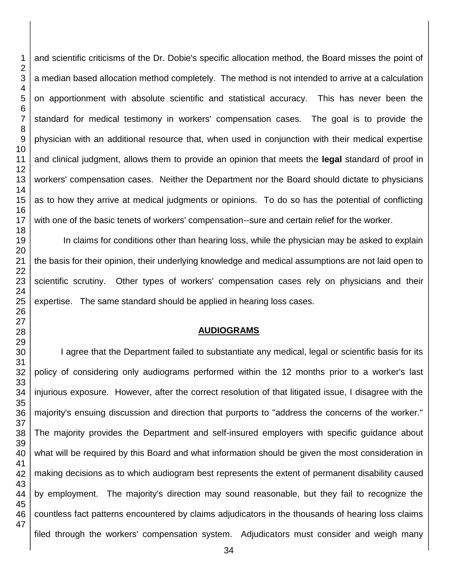and scientific criticisms of the Dr. Dobie's specific allocation method, the Board misses the point of a median based allocation method completely. The method is not intended to arrive at a calculation on apportionment with absolute scientific and statistical accuracy. This has never been the standard for medical testimony in workers' compensation cases. The goal is to provide the physician with an additional resource that, when used in conjunction with their medical expertise and clinical judgment, allows them to provide an opinion that meets the **legal** standard of proof in workers' compensation cases. Neither the Department nor the Board should dictate to physicians as to how they arrive at medical judgments or opinions. To do so has the potential of conflicting with one of the basic tenets of workers' compensation--sure and certain relief for the worker.

In claims for conditions other than hearing loss, while the physician may be asked to explain the basis for their opinion, their underlying knowledge and medical assumptions are not laid open to scientific scrutiny. Other types of workers' compensation cases rely on physicians and their expertise. The same standard should be applied in hearing loss cases.

## **AUDIOGRAMS**

I agree that the Department failed to substantiate any medical, legal or scientific basis for its policy of considering only audiograms performed within the 12 months prior to a worker's last injurious exposure. However, after the correct resolution of that litigated issue, I disagree with the majority's ensuing discussion and direction that purports to "address the concerns of the worker." The majority provides the Department and self-insured employers with specific guidance about what will be required by this Board and what information should be given the most consideration in making decisions as to which audiogram best represents the extent of permanent disability caused by employment. The majority's direction may sound reasonable, but they fail to recognize the countless fact patterns encountered by claims adjudicators in the thousands of hearing loss claims filed through the workers' compensation system. Adjudicators must consider and weigh many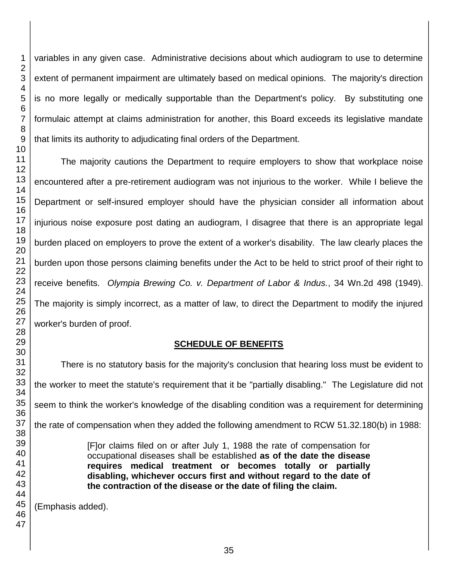variables in any given case. Administrative decisions about which audiogram to use to determine extent of permanent impairment are ultimately based on medical opinions. The majority's direction is no more legally or medically supportable than the Department's policy. By substituting one formulaic attempt at claims administration for another, this Board exceeds its legislative mandate that limits its authority to adjudicating final orders of the Department.

The majority cautions the Department to require employers to show that workplace noise encountered after a pre-retirement audiogram was not injurious to the worker. While I believe the Department or self-insured employer should have the physician consider all information about injurious noise exposure post dating an audiogram, I disagree that there is an appropriate legal burden placed on employers to prove the extent of a worker's disability. The law clearly places the burden upon those persons claiming benefits under the Act to be held to strict proof of their right to receive benefits. *Olympia Brewing Co. v. Department of Labor & Indus.*, 34 Wn.2d 498 (1949). The majority is simply incorrect, as a matter of law, to direct the Department to modify the injured worker's burden of proof.

# **SCHEDULE OF BENEFITS**

There is no statutory basis for the majority's conclusion that hearing loss must be evident to the worker to meet the statute's requirement that it be "partially disabling." The Legislature did not seem to think the worker's knowledge of the disabling condition was a requirement for determining the rate of compensation when they added the following amendment to RCW 51.32.180(b) in 1988:

> [F]or claims filed on or after July 1, 1988 the rate of compensation for occupational diseases shall be established **as of the date the disease requires medical treatment or becomes totally or partially disabling, whichever occurs first and without regard to the date of the contraction of the disease or the date of filing the claim.**

(Emphasis added).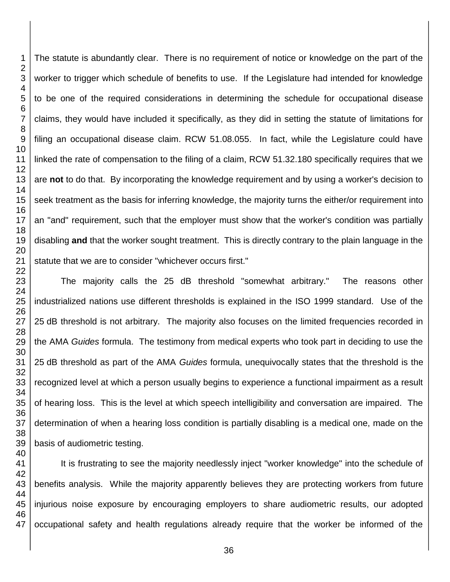The statute is abundantly clear. There is no requirement of notice or knowledge on the part of the worker to trigger which schedule of benefits to use. If the Legislature had intended for knowledge to be one of the required considerations in determining the schedule for occupational disease claims, they would have included it specifically, as they did in setting the statute of limitations for filing an occupational disease claim. RCW 51.08.055. In fact, while the Legislature could have linked the rate of compensation to the filing of a claim, RCW 51.32.180 specifically requires that we are **not** to do that. By incorporating the knowledge requirement and by using a worker's decision to seek treatment as the basis for inferring knowledge, the majority turns the either/or requirement into an "and" requirement, such that the employer must show that the worker's condition was partially disabling **and** that the worker sought treatment. This is directly contrary to the plain language in the statute that we are to consider "whichever occurs first."

The majority calls the 25 dB threshold "somewhat arbitrary." The reasons other industrialized nations use different thresholds is explained in the ISO 1999 standard. Use of the dB threshold is not arbitrary. The majority also focuses on the limited frequencies recorded in the AMA *Guides* formula. The testimony from medical experts who took part in deciding to use the dB threshold as part of the AMA *Guides* formula, unequivocally states that the threshold is the recognized level at which a person usually begins to experience a functional impairment as a result of hearing loss. This is the level at which speech intelligibility and conversation are impaired. The determination of when a hearing loss condition is partially disabling is a medical one, made on the basis of audiometric testing.

It is frustrating to see the majority needlessly inject "worker knowledge" into the schedule of benefits analysis. While the majority apparently believes they are protecting workers from future injurious noise exposure by encouraging employers to share audiometric results, our adopted occupational safety and health regulations already require that the worker be informed of the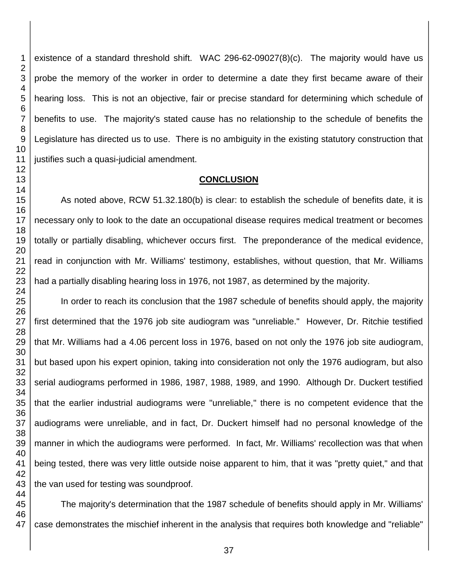existence of a standard threshold shift. WAC 296-62-09027(8)(c). The majority would have us probe the memory of the worker in order to determine a date they first became aware of their hearing loss. This is not an objective, fair or precise standard for determining which schedule of benefits to use. The majority's stated cause has no relationship to the schedule of benefits the Legislature has directed us to use. There is no ambiguity in the existing statutory construction that justifies such a quasi-judicial amendment.

## **CONCLUSION**

As noted above, RCW 51.32.180(b) is clear: to establish the schedule of benefits date, it is necessary only to look to the date an occupational disease requires medical treatment or becomes totally or partially disabling, whichever occurs first. The preponderance of the medical evidence, read in conjunction with Mr. Williams' testimony, establishes, without question, that Mr. Williams had a partially disabling hearing loss in 1976, not 1987, as determined by the majority.

In order to reach its conclusion that the 1987 schedule of benefits should apply, the majority first determined that the 1976 job site audiogram was "unreliable." However, Dr. Ritchie testified that Mr. Williams had a 4.06 percent loss in 1976, based on not only the 1976 job site audiogram, but based upon his expert opinion, taking into consideration not only the 1976 audiogram, but also serial audiograms performed in 1986, 1987, 1988, 1989, and 1990. Although Dr. Duckert testified that the earlier industrial audiograms were "unreliable," there is no competent evidence that the audiograms were unreliable, and in fact, Dr. Duckert himself had no personal knowledge of the manner in which the audiograms were performed. In fact, Mr. Williams' recollection was that when being tested, there was very little outside noise apparent to him, that it was "pretty quiet," and that the van used for testing was soundproof.

The majority's determination that the 1987 schedule of benefits should apply in Mr. Williams' case demonstrates the mischief inherent in the analysis that requires both knowledge and "reliable"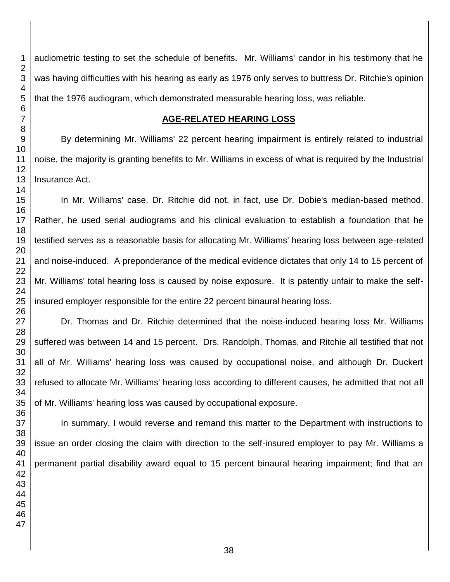audiometric testing to set the schedule of benefits. Mr. Williams' candor in his testimony that he was having difficulties with his hearing as early as 1976 only serves to buttress Dr. Ritchie's opinion that the 1976 audiogram, which demonstrated measurable hearing loss, was reliable. **AGE-RELATED HEARING LOSS** By determining Mr. Williams' 22 percent hearing impairment is entirely related to industrial

noise, the majority is granting benefits to Mr. Williams in excess of what is required by the Industrial Insurance Act.

In Mr. Williams' case, Dr. Ritchie did not, in fact, use Dr. Dobie's median-based method. Rather, he used serial audiograms and his clinical evaluation to establish a foundation that he testified serves as a reasonable basis for allocating Mr. Williams' hearing loss between age-related and noise-induced. A preponderance of the medical evidence dictates that only 14 to 15 percent of Mr. Williams' total hearing loss is caused by noise exposure. It is patently unfair to make the selfinsured employer responsible for the entire 22 percent binaural hearing loss.

Dr. Thomas and Dr. Ritchie determined that the noise-induced hearing loss Mr. Williams suffered was between 14 and 15 percent. Drs. Randolph, Thomas, and Ritchie all testified that not all of Mr. Williams' hearing loss was caused by occupational noise, and although Dr. Duckert refused to allocate Mr. Williams' hearing loss according to different causes, he admitted that not all of Mr. Williams' hearing loss was caused by occupational exposure.

In summary, I would reverse and remand this matter to the Department with instructions to issue an order closing the claim with direction to the self-insured employer to pay Mr. Williams a permanent partial disability award equal to 15 percent binaural hearing impairment; find that an